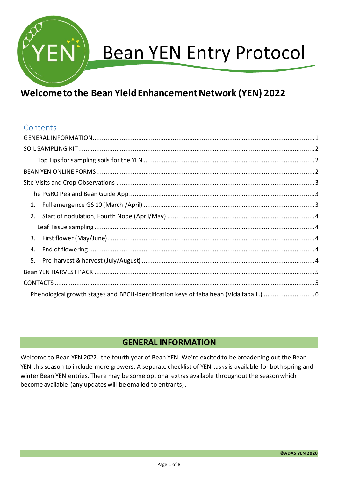

# Bean YEN Entry Protocol

# **Welcome to the Bean Yield Enhancement Network (YEN) 2022**

# **Contents**

| 3. |  |  |  |
|----|--|--|--|
| 4. |  |  |  |
|    |  |  |  |
|    |  |  |  |
|    |  |  |  |
|    |  |  |  |

# **GENERAL INFORMATION**

<span id="page-0-0"></span>Welcome to Bean YEN 2022, the fourth year of Bean YEN. We're excited to be broadening out the Bean YEN this season to include more growers. A separate checklist of YEN tasks is available for both spring and winter Bean YEN entries. There may be some optional extras available throughout the season which become available (any updates will be emailed to entrants).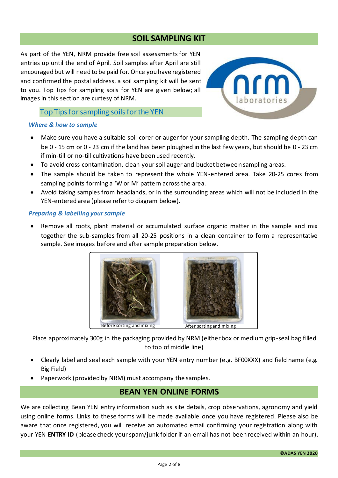#### **SOIL SAMPLING KIT**

<span id="page-1-0"></span>As part of the YEN, NRM provide free soil assessments for YEN entries up until the end of April. Soil samples after April are still encouraged but will need to be paid for. Once you have registered and confirmed the postal address, a soil sampling kit will be sent to you. Top Tips for sampling soils for YEN are given below; all images in this section are curtesy of NRM.



#### Top Tips for sampling soils for the YEN

#### <span id="page-1-1"></span>*Where & how to sample*

- Make sure you have a suitable soil corer or auger for your sampling depth. The sampling depth can be 0 - 15 cm or 0 - 23 cm if the land has been ploughed in the last few years, but should be 0 - 23 cm if min-till or no-till cultivations have been used recently.
- To avoid cross contamination, clean your soil auger and bucket between sampling areas.
- The sample should be taken to represent the whole YEN-entered area. Take 20-25 cores from sampling points forming a 'W or M' pattern across the area.
- Avoid taking samples from headlands, or in the surrounding areas which will not be included in the YEN-entered area (please refer to diagram below).

#### *Preparing & labelling your sample*

Remove all roots, plant material or accumulated surface organic matter in the sample and mix together the sub-samples from all 20-25 positions in a clean container to form a representative sample. See images before and after sample preparation below.



Place approximately 300g in the packaging provided by NRM (either box or medium grip-seal bag filled to top of middle line)

- Clearly label and seal each sample with your YEN entry number (e.g. BF00XXX) and field name (e.g. Big Field)
- <span id="page-1-2"></span>• Paperwork (provided by NRM) must accompany the samples.

# **BEAN YEN ONLINE FORMS**

We are collecting Bean YEN entry information such as site details, crop observations, agronomy and yield using online forms. Links to these forms will be made available once you have registered. Please also be aware that once registered, you will receive an automated email confirming your registration along with your YEN **ENTRY ID** (please check your spam/junk folder if an email has not been received within an hour).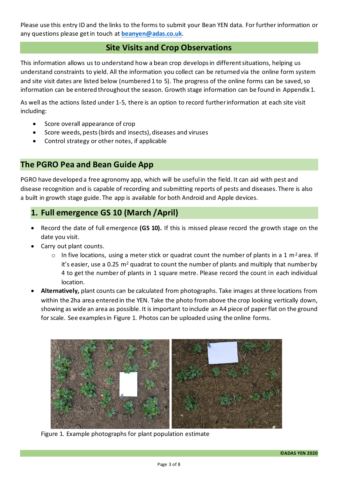Please use this entry ID and the links to the forms to submit your Bean YEN data. For further information or any questions please get in touch at **[beanyen@adas.co.uk](mailto:beanyen@adas.co.uk)**.

#### **Site Visits and Crop Observations**

<span id="page-2-0"></span>This information allows us to understand how a bean crop develops in different situations, helping us understand constraints to yield. All the information you collect can be returned via the online form system and site visit dates are listed below (numbered 1 to 5). The progress of the online forms can be saved, so information can be entered throughout the season. Growth stage information can be found in Appendix 1.

As well as the actions listed under 1-5, there is an option to record further information at each site visit including:

- Score overall appearance of crop
- Score weeds, pests (birds and insects), diseases and viruses
- Control strategy or other notes, if applicable

# <span id="page-2-1"></span>**The PGRO Pea and Bean Guide App**

PGRO have developed a free agronomy app, which will be useful in the field. It can aid with pest and disease recognition and is capable of recording and submitting reports of pests and diseases. There is also a built in growth stage guide. The app is available for both Android and Apple devices.

# <span id="page-2-2"></span>**1. Full emergence GS 10 (March /April)**

- Record the date of full emergence **(GS 10).** If this is missed please record the growth stage on the date you visit.
- Carry out plant counts.
	- $\circ$  In five locations, using a meter stick or quadrat count the number of plants in a 1 m<sup>2</sup> area. If it's easier, use a 0.25  $m<sup>2</sup>$  quadrat to count the number of plants and multiply that number by 4 to get the number of plants in 1 square metre. Please record the count in each individual location.
- **Alternatively,** plant counts can be calculated from photographs. Take images at three locations from within the 2ha area entered in the YEN. Take the photo from above the crop looking vertically down, showing as wide an area as possible. It is important to include an A4 piece of paper flat on the ground for scale. See examples in Figure 1. Photos can be uploaded using the online forms.



Figure 1. Example photographs for plant population estimate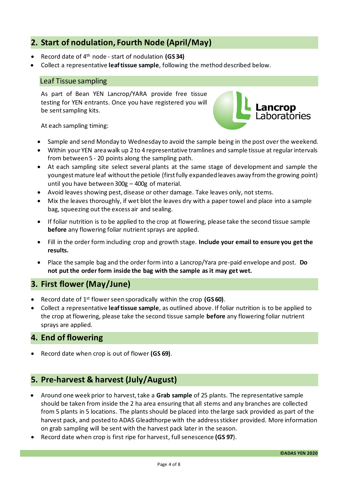# <span id="page-3-0"></span>**2. Start of nodulation, Fourth Node (April/May)**

- Record date of 4th node start of nodulation **(GS 34)**
- <span id="page-3-1"></span>• Collect a representative **leaf tissue sample**, following the method described below.

#### Leaf Tissue sampling

As part of Bean YEN Lancrop/YARA provide free tissue testing for YEN entrants. Once you have registered you will be sent sampling kits.



At each sampling timing:

- Sample and send Monday to Wednesday to avoid the sample being in the post over the weekend.
- Within your YEN area walk up 2 to 4 representative tramlines and sample tissue at regular intervals from between 5 - 20 points along the sampling path.
- At each sampling site select several plants at the same stage of development and sample the youngest mature leaf without the petiole (first fully expanded leaves away from the growing point) until you have between 300g – 400g of material.
- Avoid leaves showing pest, disease or other damage. Take leaves only, not stems.
- Mix the leaves thoroughly, if wet blot the leaves dry with a paper towel and place into a sample bag, squeezing out the excess air and sealing.
- If foliar nutrition is to be applied to the crop at flowering, please take the second tissue sample **before** any flowering foliar nutrient sprays are applied.
- Fill in the order form including crop and growth stage. **Include your email to ensure you get the results.**
- Place the sample bag and the order form into a Lancrop/Yara pre-paid envelope and post. **Do not put the order form inside the bag with the sample as it may get wet.**

# <span id="page-3-2"></span>**3. First flower (May/June)**

- Record date of 1st flower seen sporadically within the crop **(GS 60)**.
- Collect a representative **leaf tissue sample**, as outlined above. If foliar nutrition is to be applied to the crop at flowering, please take the second tissue sample **before** any flowering foliar nutrient sprays are applied.

# <span id="page-3-3"></span>**4. End of flowering**

• Record date when crop is out of flower **(GS 69)**.

# <span id="page-3-4"></span>**5. Pre-harvest & harvest (July/August)**

- Around one week prior to harvest, take a **Grab sample** of 25 plants. The representative sample should be taken from inside the 2 ha area ensuring that all stems and any branches are collected from 5 plants in 5 locations. The plants should be placed into the large sack provided as part of the harvest pack, and posted to ADAS Gleadthorpe with the address sticker provided. More information on grab sampling will be sent with the harvest pack later in the season.
- Record date when crop is first ripe for harvest, full senescence **(GS 97**).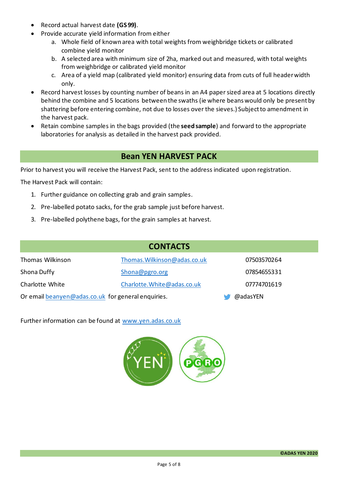- Record actual harvest date **(GS 99)**.
- Provide accurate yield information from either
	- a. Whole field of known area with total weights from weighbridge tickets or calibrated combine yield monitor
	- b. A selected area with minimum size of 2ha, marked out and measured, with total weights from weighbridge or calibrated yield monitor
	- c. Area of a yield map (calibrated yield monitor) ensuring data from cuts of full header width only.
- Record harvest losses by counting number of beans in an A4 paper sized area at 5 locations directly behind the combine and 5 locations between the swaths (ie where beans would only be present by shattering before entering combine, not due to losses over the sieves.) Subject to amendment in the harvest pack.
- Retain combine samples in the bags provided (the **seed sample**) and forward to the appropriate laboratories for analysis as detailed in the harvest pack provided.

# **Bean YEN HARVEST PACK**

<span id="page-4-0"></span>Prior to harvest you will receive the Harvest Pack, sent to the address indicated upon registration.

The Harvest Pack will contain:

- 1. Further guidance on collecting grab and grain samples.
- 2. Pre-labelled potato sacks, for the grab sample just before harvest.
- 3. Pre-labelled polythene bags, for the grain samples at harvest.

<span id="page-4-1"></span>

| <b>CONTACTS</b>                                    |                              |             |  |  |
|----------------------------------------------------|------------------------------|-------------|--|--|
| Thomas Wilkinson                                   | Thomas. Wilkinson@adas.co.uk | 07503570264 |  |  |
| Shona Duffy                                        | Shona@pgro.org               | 07854655331 |  |  |
| Charlotte White                                    | Charlotte. White@adas.co.uk  | 07774701619 |  |  |
| Or email beanyen@adas.co.uk for general enquiries. | @adasYEN                     |             |  |  |

Further information can be found at [www.yen.adas.co.uk](http://www.yen.adas.co.uk/)

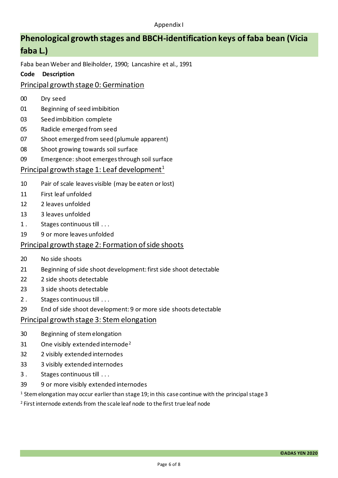# <span id="page-5-0"></span>**Phenological growth stages and BBCH-identification keys of faba bean (Vicia faba L.)**

Faba bean Weber and Bleiholder, 1990; Lancashire et al., 1991

#### **Code Description**

#### Principal growth stage 0: Germination

- 00 Dry seed
- 01 Beginning of seed imbibition
- 03 Seed imbibition complete
- 05 Radicle emerged from seed
- 07 Shoot emerged from seed (plumule apparent)
- 08 Shoot growing towards soil surface
- 09 Emergence: shoot emerges through soil surface

# Principal growth stage 1: Leaf development<sup>1</sup>

- 10 Pair of scale leaves visible (may be eaten or lost)
- 11 First leaf unfolded
- 12 2 leaves unfolded
- 13 3 leaves unfolded
- 1. Stages continuous till ...
- 19 9 or more leaves unfolded

#### Principal growth stage 2: Formation of side shoots

- 20 No side shoots
- 21 Beginning of side shoot development: first side shoot detectable
- 22 2 side shoots detectable
- 23 3 side shoots detectable
- 2. Stages continuous till ...
- 29 End of side shoot development: 9 or more side shoots detectable

#### Principal growth stage 3: Stem elongation

- 30 Beginning of stem elongation
- 31 One visibly extended internode<sup>2</sup>
- 32 2 visibly extended internodes
- 33 3 visibly extended internodes
- 3. Stages continuous till ...
- 39 9 or more visibly extended internodes

<sup>1</sup> Stem elongation may occur earlier than stage 19; in this case continue with the principal stage 3

2 First internode extends from the scale leaf node to the first true leaf node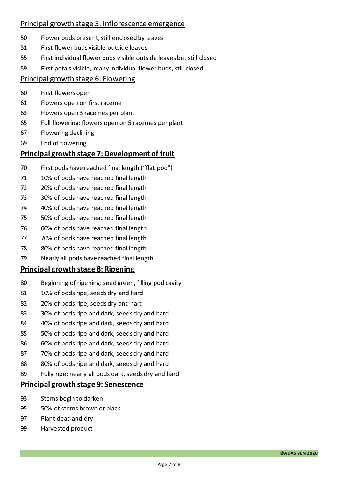#### Principal growth stage 5: Inflorescence emergence

- 50 Flower buds present, still enclosed by leaves
- 51 First flower buds visible outside leaves
- 55 First individual flower buds visible outside leaves but still closed
- 59 First petals visible, many individual flower buds, still closed

#### Principal growth stage 6: Flowering

- 60 First flowers open
- 61 Flowers open on first raceme
- 63 Flowers open 3 racemes per plant
- 65 Full flowering: flowers open on 5 racemes per plant
- 67 Flowering declining
- 69 End of flowering

#### **Principal growth stage 7: Development of fruit**

- 70 First pods have reached final length ("flat pod")
- 71 10% of pods have reached final length
- 72 20% of pods have reached final length
- 73 30% of pods have reached final length
- 74 40% of pods have reached final length
- 75 50% of pods have reached final length
- 76 60% of pods have reached final length
- 77 70% of pods have reached final length
- 78 80% of pods have reached final length
- 79 Nearly all pods have reached final length

#### **Principal growth stage 8: Ripening**

- 80 Beginning of ripening: seed green, filling pod cavity
- 81 10% of pods ripe, seeds dry and hard
- 82 20% of pods ripe, seeds dry and hard
- 83 30% of pods ripe and dark, seeds dry and hard
- 84 40% of pods ripe and dark, seeds dry and hard
- 85 50% of pods ripe and dark, seeds dry and hard
- 86 60% of pods ripe and dark, seeds dry and hard
- 87 70% of pods ripe and dark, seeds dry and hard
- 88 80% of pods ripe and dark, seeds dry and hard
- 89 Fully ripe: nearly all pods dark, seeds dry and hard

#### **Principal growth stage 9: Senescence**

- 93 Stems begin to darken
- 95 50% of stems brown or black
- 97 Plant dead and dry
- 99 Harvested product